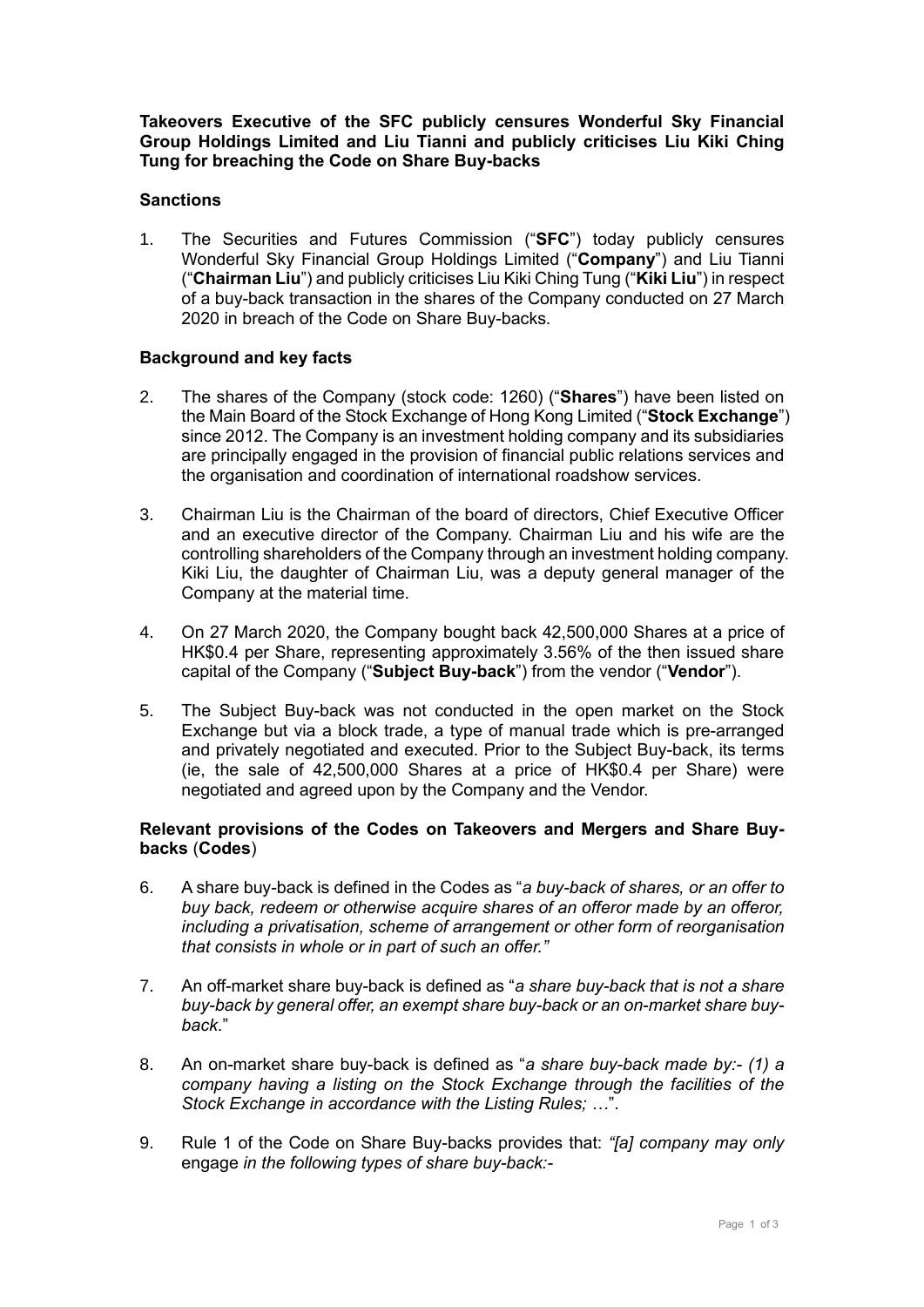**Takeovers Executive of the SFC publicly censures Wonderful Sky Financial Group Holdings Limited and Liu Tianni and publicly criticises Liu Kiki Ching Tung for breaching the Code on Share Buy-backs**

## **Sanctions**

1. The Securities and Futures Commission ("**SFC**") today publicly censures Wonderful Sky Financial Group Holdings Limited ("**Company**") and Liu Tianni ("**Chairman Liu**") and publicly criticises Liu Kiki Ching Tung ("**Kiki Liu**") in respect of a buy-back transaction in the shares of the Company conducted on 27 March 2020 in breach of the Code on Share Buy-backs.

## **Background and key facts**

- 2. The shares of the Company (stock code: 1260) ("**Shares**") have been listed on the Main Board of the Stock Exchange of Hong Kong Limited ("**Stock Exchange**") since 2012. The Company is an investment holding company and its subsidiaries are principally engaged in the provision of financial public relations services and the organisation and coordination of international roadshow services.
- 3. Chairman Liu is the Chairman of the board of directors, Chief Executive Officer and an executive director of the Company. Chairman Liu and his wife are the controlling shareholders of the Company through an investment holding company. Kiki Liu, the daughter of Chairman Liu, was a deputy general manager of the Company at the material time.
- 4. On 27 March 2020, the Company bought back 42,500,000 Shares at a price of HK\$0.4 per Share, representing approximately 3.56% of the then issued share capital of the Company ("**Subject Buy-back**") from the vendor ("**Vendor**").
- 5. The Subject Buy-back was not conducted in the open market on the Stock Exchange but via a block trade, a type of manual trade which is pre-arranged and privately negotiated and executed. Prior to the Subject Buy-back, its terms (ie, the sale of 42,500,000 Shares at a price of HK\$0.4 per Share) were negotiated and agreed upon by the Company and the Vendor.

## **Relevant provisions of the Codes on Takeovers and Mergers and Share Buybacks** (**Codes**)

- 6. A share buy-back is defined in the Codes as "*a buy-back of shares, or an offer to buy back, redeem or otherwise acquire shares of an offeror made by an offeror, including a privatisation, scheme of arrangement or other form of reorganisation that consists in whole or in part of such an offer."*
- 7. An off-market share buy-back is defined as "*a share buy-back that is not a share buy-back by general offer, an exempt share buy-back or an on-market share buyback*."
- 8. An on-market share buy-back is defined as "*a share buy-back made by:- (1) a company having a listing on the Stock Exchange through the facilities of the Stock Exchange in accordance with the Listing Rules; …*".
- 9. Rule 1 of the Code on Share Buy-backs provides that: *"[a] company may only*  engage *in the following types of share buy-back:-*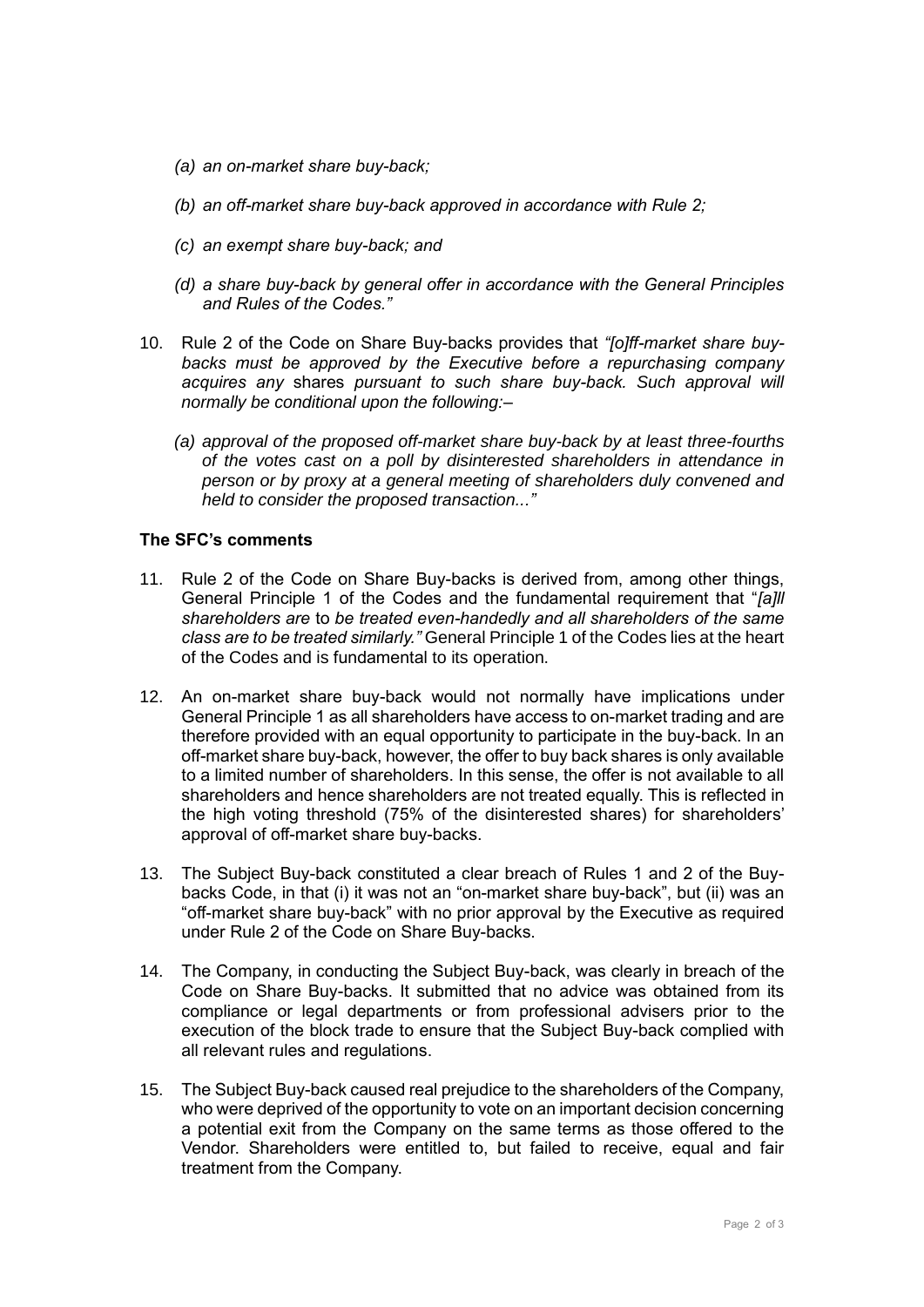- *(a) an on-market share buy-back;*
- *(b) an off-market share buy-back approved in accordance with Rule 2;*
- *(c) an exempt share buy-back; and*
- *(d) a share buy-back by general offer in accordance with the General Principles and Rules of the Codes."*
- 10. Rule 2 of the Code on Share Buy-backs provides that *"[o]ff-market share buybacks must be approved by the Executive before a repurchasing company acquires any* shares *pursuant to such share buy-back. Such approval will normally be conditional upon the following:–*
	- *(a) approval of the proposed off-market share buy-back by at least three-fourths of the votes cast on a poll by disinterested shareholders in attendance in person or by proxy at a general meeting of shareholders duly convened and held to consider the proposed transaction..."*

## **The SFC's comments**

- 11. Rule 2 of the Code on Share Buy-backs is derived from, among other things, General Principle 1 of the Codes and the fundamental requirement that "*[a]ll shareholders are* to *be treated even-handedly and all shareholders of the same class are to be treated similarly."* General Principle 1 of the Codes lies at the heart of the Codes and is fundamental to its operation.
- 12. An on-market share buy-back would not normally have implications under General Principle 1 as all shareholders have access to on-market trading and are therefore provided with an equal opportunity to participate in the buy-back. In an off-market share buy-back, however, the offer to buy back shares is only available to a limited number of shareholders. In this sense, the offer is not available to all shareholders and hence shareholders are not treated equally. This is reflected in the high voting threshold (75% of the disinterested shares) for shareholders' approval of off-market share buy-backs.
- 13. The Subject Buy-back constituted a clear breach of Rules 1 and 2 of the Buybacks Code, in that (i) it was not an "on-market share buy-back", but (ii) was an "off-market share buy-back" with no prior approval by the Executive as required under Rule 2 of the Code on Share Buy-backs.
- 14. The Company, in conducting the Subject Buy-back, was clearly in breach of the Code on Share Buy-backs. It submitted that no advice was obtained from its compliance or legal departments or from professional advisers prior to the execution of the block trade to ensure that the Subject Buy-back complied with all relevant rules and regulations.
- 15. The Subject Buy-back caused real prejudice to the shareholders of the Company, who were deprived of the opportunity to vote on an important decision concerning a potential exit from the Company on the same terms as those offered to the Vendor. Shareholders were entitled to, but failed to receive, equal and fair treatment from the Company.